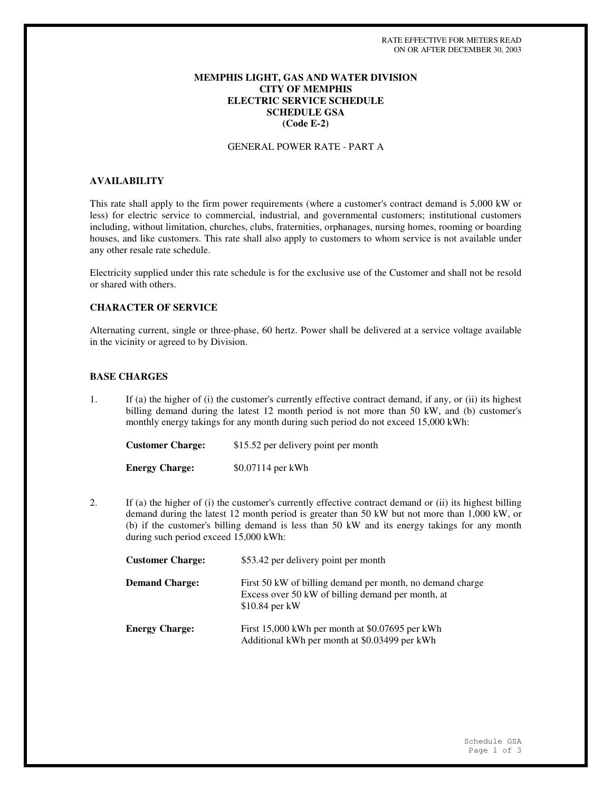## **MEMPHIS LIGHT, GAS AND WATER DIVISION CITY OF MEMPHIS ELECTRIC SERVICE SCHEDULE SCHEDULE GSA (Code E-2)**

## GENERAL POWER RATE - PART A

# **AVAILABILITY**

This rate shall apply to the firm power requirements (where a customer's contract demand is 5,000 kW or less) for electric service to commercial, industrial, and governmental customers; institutional customers including, without limitation, churches, clubs, fraternities, orphanages, nursing homes, rooming or boarding houses, and like customers. This rate shall also apply to customers to whom service is not available under any other resale rate schedule.

Electricity supplied under this rate schedule is for the exclusive use of the Customer and shall not be resold or shared with others.

# **CHARACTER OF SERVICE**

Alternating current, single or three-phase, 60 hertz. Power shall be delivered at a service voltage available in the vicinity or agreed to by Division.

## **BASE CHARGES**

1. If (a) the higher of (i) the customer's currently effective contract demand, if any, or (ii) its highest billing demand during the latest 12 month period is not more than 50 kW, and (b) customer's monthly energy takings for any month during such period do not exceed 15,000 kWh:

| <b>Customer Charge:</b> | \$15.52 per delivery point per month |
|-------------------------|--------------------------------------|
| <b>Energy Charge:</b>   | \$0.07114 per kWh                    |

2. If (a) the higher of (i) the customer's currently effective contract demand or (ii) its highest billing demand during the latest 12 month period is greater than 50 kW but not more than 1,000 kW, or (b) if the customer's billing demand is less than 50 kW and its energy takings for any month during such period exceed 15,000 kWh:

| <b>Customer Charge:</b> | \$53.42 per delivery point per month                                                                                              |
|-------------------------|-----------------------------------------------------------------------------------------------------------------------------------|
| <b>Demand Charge:</b>   | First 50 kW of billing demand per month, no demand charge<br>Excess over 50 kW of billing demand per month, at<br>$$10.84$ per kW |
| <b>Energy Charge:</b>   | First 15,000 kWh per month at \$0.07695 per kWh<br>Additional kWh per month at \$0.03499 per kWh                                  |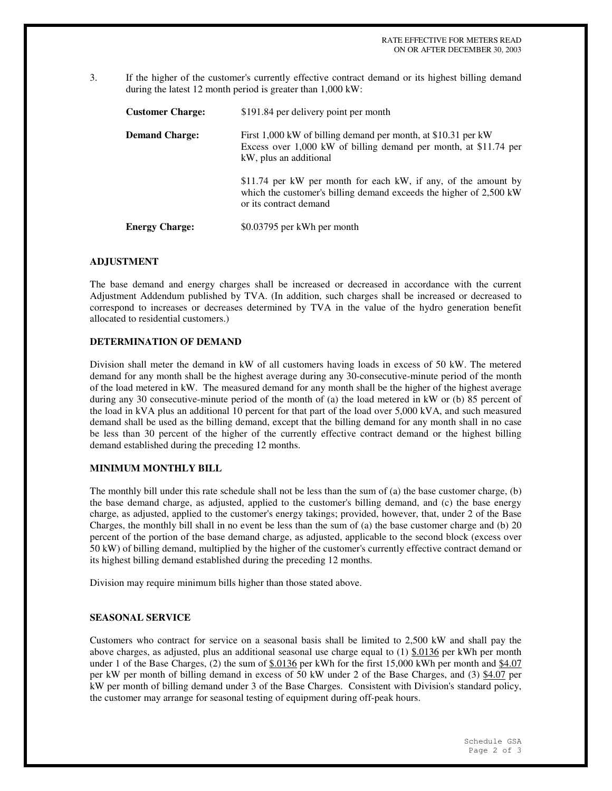3. If the higher of the customer's currently effective contract demand or its highest billing demand during the latest 12 month period is greater than 1,000 kW:

| <b>Customer Charge:</b> | \$191.84 per delivery point per month                                                                                                                          |
|-------------------------|----------------------------------------------------------------------------------------------------------------------------------------------------------------|
| <b>Demand Charge:</b>   | First 1,000 kW of billing demand per month, at \$10.31 per kW<br>Excess over 1,000 kW of billing demand per month, at \$11.74 per<br>kW, plus an additional    |
|                         | \$11.74 per kW per month for each kW, if any, of the amount by<br>which the customer's billing demand exceeds the higher of 2,500 kW<br>or its contract demand |
| <b>Energy Charge:</b>   | \$0.03795 per kWh per month                                                                                                                                    |

#### **ADJUSTMENT**

The base demand and energy charges shall be increased or decreased in accordance with the current Adjustment Addendum published by TVA. (In addition, such charges shall be increased or decreased to correspond to increases or decreases determined by TVA in the value of the hydro generation benefit allocated to residential customers.)

#### **DETERMINATION OF DEMAND**

Division shall meter the demand in kW of all customers having loads in excess of 50 kW. The metered demand for any month shall be the highest average during any 30-consecutive-minute period of the month of the load metered in kW. The measured demand for any month shall be the higher of the highest average during any 30 consecutive-minute period of the month of (a) the load metered in kW or (b) 85 percent of the load in kVA plus an additional 10 percent for that part of the load over 5,000 kVA, and such measured demand shall be used as the billing demand, except that the billing demand for any month shall in no case be less than 30 percent of the higher of the currently effective contract demand or the highest billing demand established during the preceding 12 months.

#### **MINIMUM MONTHLY BILL**

The monthly bill under this rate schedule shall not be less than the sum of (a) the base customer charge, (b) the base demand charge, as adjusted, applied to the customer's billing demand, and (c) the base energy charge, as adjusted, applied to the customer's energy takings; provided, however, that, under 2 of the Base Charges, the monthly bill shall in no event be less than the sum of (a) the base customer charge and (b) 20 percent of the portion of the base demand charge, as adjusted, applicable to the second block (excess over 50 kW) of billing demand, multiplied by the higher of the customer's currently effective contract demand or its highest billing demand established during the preceding 12 months.

Division may require minimum bills higher than those stated above.

## **SEASONAL SERVICE**

Customers who contract for service on a seasonal basis shall be limited to 2,500 kW and shall pay the above charges, as adjusted, plus an additional seasonal use charge equal to  $(1)$  \$.0136 per kWh per month under 1 of the Base Charges, (2) the sum of  $$.0136$  per kWh for the first 15,000 kWh per month and  $$4.07$ per kW per month of billing demand in excess of 50 kW under 2 of the Base Charges, and (3) \$4.07 per kW per month of billing demand under 3 of the Base Charges. Consistent with Division's standard policy, the customer may arrange for seasonal testing of equipment during off-peak hours.